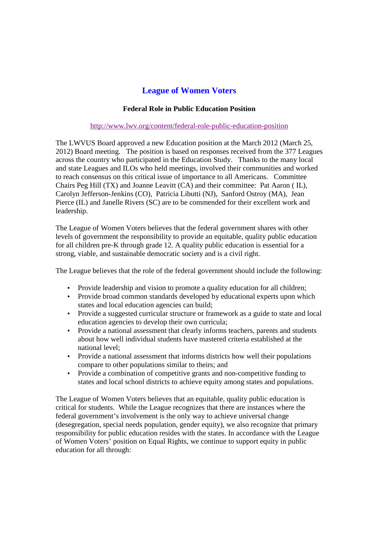## **League of Women Voters**

## **Federal Role in Public Education Position**

## http://www.lwv.org/content/federal-role-public-education-position

The LWVUS Board approved a new Education position at the March 2012 (March 25, 2012) Board meeting. The position is based on responses received from the 377 Leagues across the country who participated in the Education Study. Thanks to the many local and state Leagues and ILOs who held meetings, involved their communities and worked to reach consensus on this critical issue of importance to all Americans. Committee Chairs Peg Hill (TX) and Joanne Leavitt (CA) and their committee: Pat Aaron ( IL), Carolyn Jefferson-Jenkins (CO), Patricia Libutti (NJ), Sanford Ostroy (MA), Jean Pierce (IL) and Janelle Rivers (SC) are to be commended for their excellent work and leadership.

The League of Women Voters believes that the federal government shares with other levels of government the responsibility to provide an equitable, quality public education for all children pre-K through grade 12. A quality public education is essential for a strong, viable, and sustainable democratic society and is a civil right.

The League believes that the role of the federal government should include the following:

- Provide leadership and vision to promote a quality education for all children;
- Provide broad common standards developed by educational experts upon which states and local education agencies can build;
- Provide a suggested curricular structure or framework as a guide to state and local education agencies to develop their own curricula;
- Provide a national assessment that clearly informs teachers, parents and students about how well individual students have mastered criteria established at the national level;
- Provide a national assessment that informs districts how well their populations compare to other populations similar to theirs; and
- Provide a combination of competitive grants and non-competitive funding to states and local school districts to achieve equity among states and populations.

The League of Women Voters believes that an equitable, quality public education is critical for students. While the League recognizes that there are instances where the federal government's involvement is the only way to achieve universal change (desegregation, special needs population, gender equity), we also recognize that primary responsibility for public education resides with the states. In accordance with the League of Women Voters' position on Equal Rights, we continue to support equity in public education for all through: